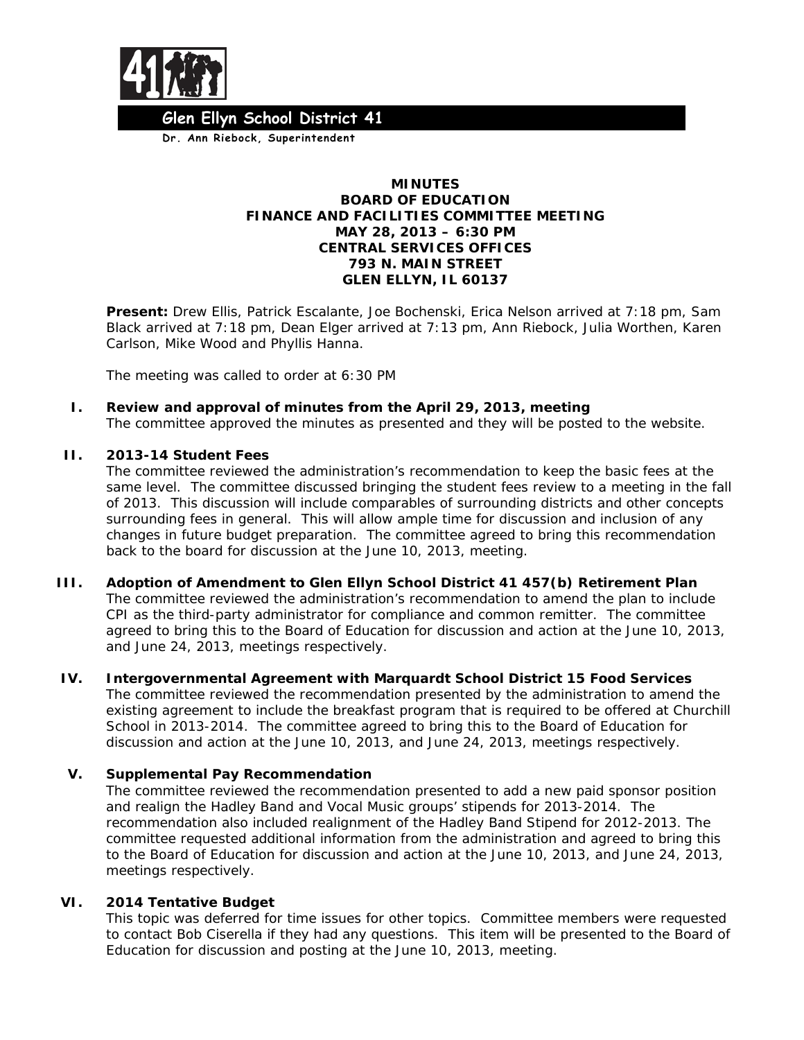

 **Dr. Ann Riebock, Superintendent Glen Ellyn School District 41**

#### **MINUTES BOARD OF EDUCATION FINANCE AND FACILITIES COMMITTEE MEETING MAY 28, 2013 – 6:30 PM CENTRAL SERVICES OFFICES 793 N. MAIN STREET GLEN ELLYN, IL 60137**

**Present:** Drew Ellis, Patrick Escalante, Joe Bochenski, Erica Nelson arrived at 7:18 pm, Sam Black arrived at 7:18 pm, Dean Elger arrived at 7:13 pm, Ann Riebock, Julia Worthen, Karen Carlson, Mike Wood and Phyllis Hanna.

The meeting was called to order at 6:30 PM

**I. Review and approval of minutes from the April 29, 2013, meeting** The committee approved the minutes as presented and they will be posted to the website.

## **II. 2013-14 Student Fees**

The committee reviewed the administration's recommendation to keep the basic fees at the same level. The committee discussed bringing the student fees review to a meeting in the fall of 2013. This discussion will include comparables of surrounding districts and other concepts surrounding fees in general. This will allow ample time for discussion and inclusion of any changes in future budget preparation. The committee agreed to bring this recommendation back to the board for discussion at the June 10, 2013, meeting.

- **III. Adoption of Amendment to Glen Ellyn School District 41 457(b) Retirement Plan** The committee reviewed the administration's recommendation to amend the plan to include CPI as the third-party administrator for compliance and common remitter. The committee agreed to bring this to the Board of Education for discussion and action at the June 10, 2013, and June 24, 2013, meetings respectively.
- **IV. Intergovernmental Agreement with Marquardt School District 15 Food Services** The committee reviewed the recommendation presented by the administration to amend the existing agreement to include the breakfast program that is required to be offered at Churchill School in 2013-2014. The committee agreed to bring this to the Board of Education for discussion and action at the June 10, 2013, and June 24, 2013, meetings respectively.

# **V. Supplemental Pay Recommendation**

The committee reviewed the recommendation presented to add a new paid sponsor position and realign the Hadley Band and Vocal Music groups' stipends for 2013-2014. The recommendation also included realignment of the Hadley Band Stipend for 2012-2013. The committee requested additional information from the administration and agreed to bring this to the Board of Education for discussion and action at the June 10, 2013, and June 24, 2013, meetings respectively.

#### **VI. 2014 Tentative Budget**

This topic was deferred for time issues for other topics. Committee members were requested to contact Bob Ciserella if they had any questions. This item will be presented to the Board of Education for discussion and posting at the June 10, 2013, meeting.